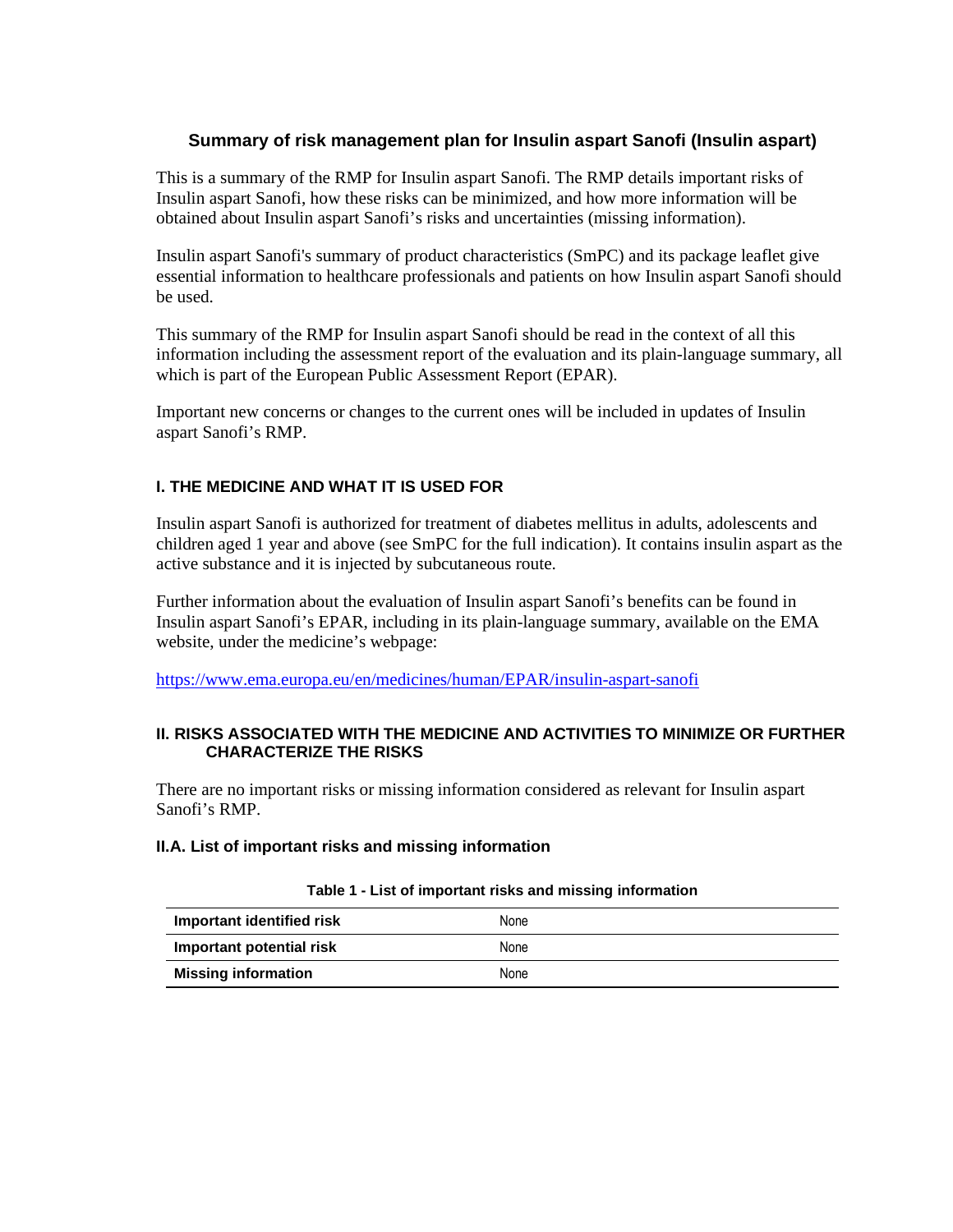## **Summary of risk management plan for Insulin aspart Sanofi (Insulin aspart)**

This is a summary of the RMP for Insulin aspart Sanofi. The RMP details important risks of Insulin aspart Sanofi, how these risks can be minimized, and how more information will be obtained about Insulin aspart Sanofi's risks and uncertainties (missing information).

Insulin aspart Sanofi's summary of product characteristics (SmPC) and its package leaflet give essential information to healthcare professionals and patients on how Insulin aspart Sanofi should be used.

This summary of the RMP for Insulin aspart Sanofi should be read in the context of all this information including the assessment report of the evaluation and its plain-language summary, all which is part of the European Public Assessment Report (EPAR).

Important new concerns or changes to the current ones will be included in updates of Insulin aspart Sanofi's RMP.

### **I. THE MEDICINE AND WHAT IT IS USED FOR**

Insulin aspart Sanofi is authorized for treatment of diabetes mellitus in adults, adolescents and children aged 1 year and above (see SmPC for the full indication). It contains insulin aspart as the active substance and it is injected by subcutaneous route.

Further information about the evaluation of Insulin aspart Sanofi's benefits can be found in Insulin aspart Sanofi's EPAR, including in its plain-language summary, available on the EMA website, under the medicine's webpage:

https://www.ema.europa.eu/en/medicines/human/EPAR/insulin-aspart-sanofi

### **II. RISKS ASSOCIATED WITH THE MEDICINE AND ACTIVITIES TO MINIMIZE OR FURTHER CHARACTERIZE THE RISKS**

There are no important risks or missing information considered as relevant for Insulin aspart Sanofi's RMP.

#### **II.A. List of important risks and missing information**

| Important identified risk  | None |
|----------------------------|------|
| Important potential risk   | None |
| <b>Missing information</b> | None |

#### **Table 1 - List of important risks and missing information**